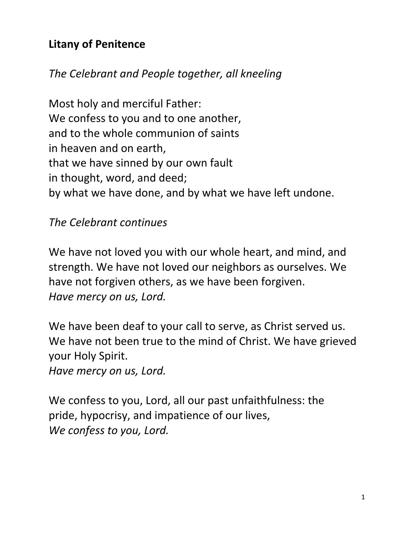## **Litany of Penitence**

## *The Celebrant and People together, all kneeling*

Most holy and merciful Father: We confess to you and to one another, and to the whole communion of saints in heaven and on earth, that we have sinned by our own fault in thought, word, and deed; by what we have done, and by what we have left undone.

*The Celebrant continues*

We have not loved you with our whole heart, and mind, and strength. We have not loved our neighbors as ourselves. We have not forgiven others, as we have been forgiven. *Have mercy on us, Lord.*

We have been deaf to your call to serve, as Christ served us. We have not been true to the mind of Christ. We have grieved your Holy Spirit.

*Have mercy on us, Lord.*

We confess to you, Lord, all our past unfaithfulness: the pride, hypocrisy, and impatience of our lives, *We confess to you, Lord.*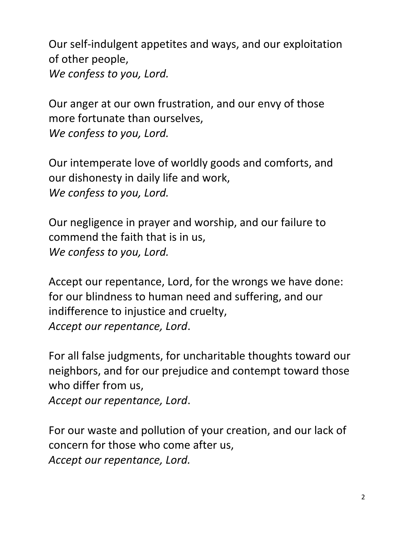Our self-indulgent appetites and ways, and our exploitation of other people, *We confess to you, Lord.*

Our anger at our own frustration, and our envy of those more fortunate than ourselves, *We confess to you, Lord.*

Our intemperate love of worldly goods and comforts, and our dishonesty in daily life and work, *We confess to you, Lord.*

Our negligence in prayer and worship, and our failure to commend the faith that is in us, *We confess to you, Lord.*

Accept our repentance, Lord, for the wrongs we have done: for our blindness to human need and suffering, and our indifference to injustice and cruelty, *Accept our repentance, Lord*.

For all false judgments, for uncharitable thoughts toward our neighbors, and for our prejudice and contempt toward those who differ from us,

*Accept our repentance, Lord*.

For our waste and pollution of your creation, and our lack of concern for those who come after us, *Accept our repentance, Lord.*